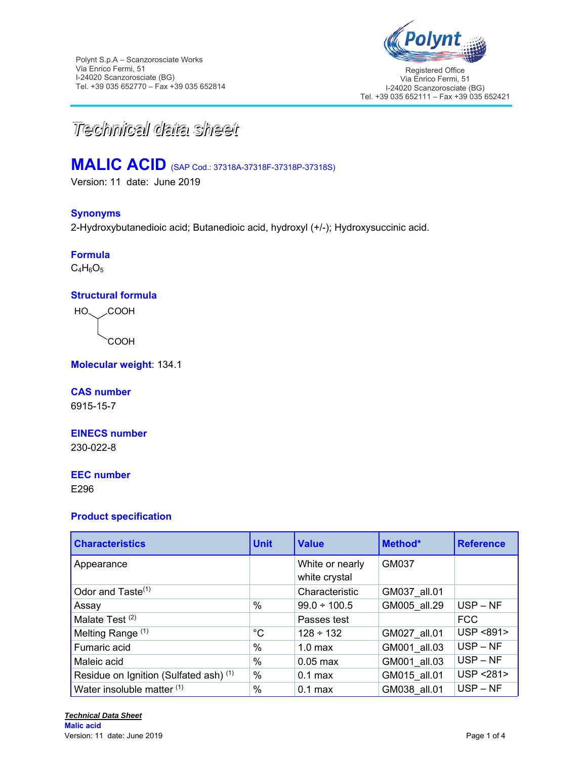

Registered Office Via Enrico Fermi, 51 I-24020 Scanzorosciate (BG) Tel. +39 035 652111 – Fax +39 035 652421



# **MALIC ACID** (SAP Cod.: 37318A-37318F-37318P-37318S)

Version: 11 date: June 2019

#### **Synonyms**

2-Hydroxybutanedioic acid; Butanedioic acid, hydroxyl (+/-); Hydroxysuccinic acid.

## **Formula**

 $C_4H_6O_5$ 

#### **Structural formula**

COOH **COOH** HO.

**Molecular weight**: 134.1

#### **CAS number**

6915-15-7

#### **EINECS number**

230-022-8

#### **EEC number**

E296

#### **Product specification**

| <b>Characteristics</b>                            | <b>Unit</b>   | <b>Value</b>                     | Method*      | <b>Reference</b> |
|---------------------------------------------------|---------------|----------------------------------|--------------|------------------|
| Appearance                                        |               | White or nearly<br>white crystal | GM037        |                  |
| Odor and Taste <sup>(1)</sup>                     |               | Characteristic                   | GM037 all.01 |                  |
| Assay                                             | $\frac{0}{0}$ | $99.0 \div 100.5$                | GM005 all.29 | $USP - NF$       |
| Malate Test <sup>(2)</sup>                        |               | Passes test                      |              | <b>FCC</b>       |
| Melting Range (1)                                 | $^{\circ}C$   | $128 \div 132$                   | GM027 all.01 | USP <891>        |
| Fumaric acid                                      | $\frac{0}{0}$ | 1.0 <sub>max</sub>               | GM001_all.03 | $USP - NF$       |
| Maleic acid                                       | $\frac{0}{0}$ | $0.05$ max                       | GM001 all.03 | $USP - NF$       |
| Residue on Ignition (Sulfated ash) <sup>(1)</sup> | $\%$          | $0.1$ max                        | GM015 all.01 | USP <281>        |
| Water insoluble matter (1)                        | $\%$          | $0.1$ max                        | GM038 all.01 | $USP - NF$       |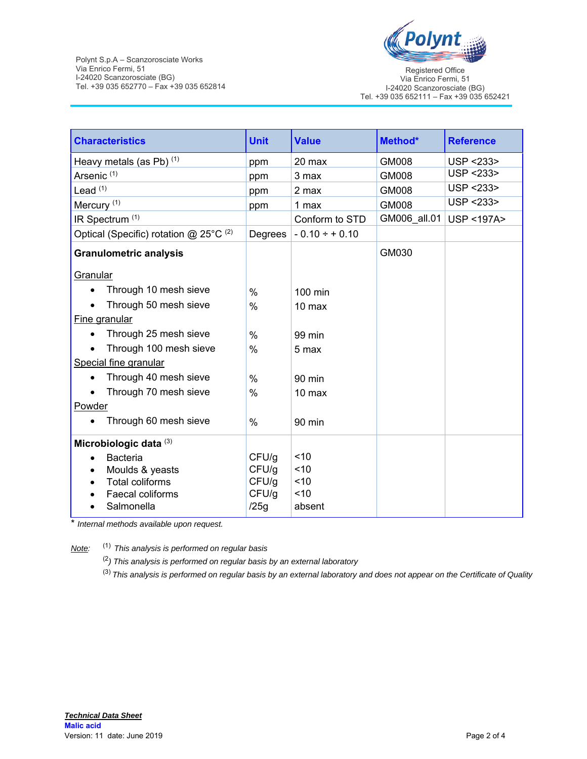

Registered Office Via Enrico Fermi, 51 I-24020 Scanzorosciate (BG) Tel. +39 035 652111 – Fax +39 035 652421

| <b>Characteristics</b>                     | <b>Unit</b>   | <b>Value</b>       | Method*      | <b>Reference</b>        |
|--------------------------------------------|---------------|--------------------|--------------|-------------------------|
| Heavy metals (as Pb) (1)                   | ppm           | 20 max             | GM008        | USP <233>               |
| Arsenic <sup>(1)</sup>                     | ppm           | 3 max              | GM008        | USP <233>               |
| Lead $(1)$                                 | ppm           | 2 max              | GM008        | USP <233>               |
| Mercury <sup>(1)</sup>                     | ppm           | 1 max              | GM008        | USP <233>               |
| IR Spectrum <sup>(1)</sup>                 |               | Conform to STD     | GM006_all.01 | <b>USP &lt;197A&gt;</b> |
| Optical (Specific) rotation $@$ 25°C $(2)$ | Degrees       | $-0.10 \div +0.10$ |              |                         |
| <b>Granulometric analysis</b>              |               |                    | GM030        |                         |
| Granular                                   |               |                    |              |                         |
| Through 10 mesh sieve                      | $\frac{0}{0}$ | $100$ min          |              |                         |
| Through 50 mesh sieve                      | $\frac{0}{0}$ | 10 <sub>max</sub>  |              |                         |
| Fine granular                              |               |                    |              |                         |
| Through 25 mesh sieve                      | $\%$          | 99 min             |              |                         |
| Through 100 mesh sieve                     | $\frac{0}{0}$ | 5 max              |              |                         |
| Special fine granular                      |               |                    |              |                         |
| Through 40 mesh sieve                      | $\frac{0}{0}$ | 90 min             |              |                         |
| Through 70 mesh sieve                      | $\frac{0}{0}$ | 10 max             |              |                         |
| Powder                                     |               |                    |              |                         |
| Through 60 mesh sieve                      | $\frac{0}{0}$ | 90 min             |              |                         |
| Microbiologic data (3)                     |               |                    |              |                         |
| <b>Bacteria</b>                            | CFU/g         | < 10               |              |                         |
| Moulds & yeasts                            | CFU/g         | < 10               |              |                         |
| <b>Total coliforms</b>                     | CFU/g         | < 10               |              |                         |
| Faecal coliforms                           | CFU/g         | < 10               |              |                         |
| Salmonella                                 | /25g          | absent             |              |                         |

\* *Internal methods available upon request.*

*Note:* (1)*This analysis is performed on regular basis* 

(2*) This analysis is performed on regular basis by an external laboratory*

(3) *This analysis is performed on regular basis by an external laboratory and does not appear on the Certificate of Quality*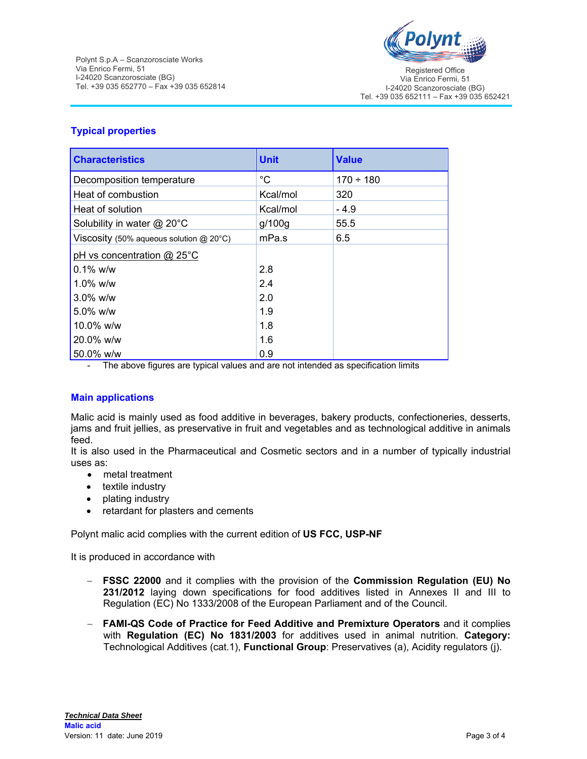

Registered Office Via Enrico Fermi, 51 I-24020 Scanzorosciate (BG) Tel. +39 035 652111 – Fax +39 035 652421

### **Typical properties**

| <b>Characteristics</b>                    | <b>Unit</b> | <b>Value</b>   |
|-------------------------------------------|-------------|----------------|
| Decomposition temperature                 | °C          | $170 \div 180$ |
| Heat of combustion                        | Kcal/mol    | 320            |
| Heat of solution                          | Kcal/mol    | $-4.9$         |
| Solubility in water @ 20°C                | g/100g      | 55.5           |
| Viscosity (50% aqueous solution $@$ 20°C) | mPa.s       | 6.5            |
| pH vs concentration $@$ 25°C              |             |                |
| $0.1\%$ w/w                               | 2.8         |                |
| $1.0\%$ w/w                               | 2.4         |                |
| $3.0\%$ w/w                               | 2.0         |                |
| $5.0\%$ w/w                               | 1.9         |                |
| 10.0% w/w                                 | 1.8         |                |
| 20.0% w/w                                 | 1.6         |                |
| 50.0% w/w                                 | 0.9         |                |

- The above figures are typical values and are not intended as specification limits

#### **Main applications**

Malic acid is mainly used as food additive in beverages, bakery products, confectioneries, desserts, jams and fruit jellies, as preservative in fruit and vegetables and as technological additive in animals feed.

It is also used in the Pharmaceutical and Cosmetic sectors and in a number of typically industrial uses as:

- metal treatment
- textile industry
- plating industry
- retardant for plasters and cements

Polynt malic acid complies with the current edition of **US FCC, USP-NF** 

It is produced in accordance with

- **FSSC 22000** and it complies with the provision of the **Commission Regulation (EU) No 231/2012** laying down specifications for food additives listed in Annexes II and III to Regulation (EC) No 1333/2008 of the European Parliament and of the Council.
- **FAMI-QS Code of Practice for Feed Additive and Premixture Operators** and it complies with **Regulation (EC) No 1831/2003** for additives used in animal nutrition. **Category:**  Technological Additives (cat.1), **Functional Group**: Preservatives (a), Acidity regulators (j).